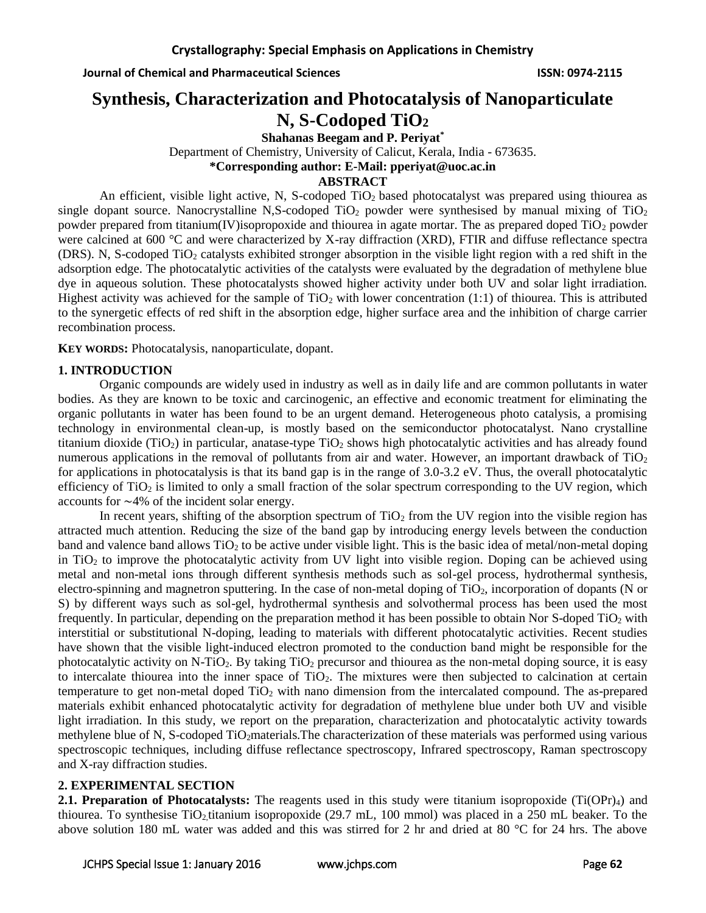# **Synthesis, Characterization and Photocatalysis of Nanoparticulate N, S-Codoped TiO<sup>2</sup>**

**Shahanas Beegam and P. Periyat\***

Department of Chemistry, University of Calicut, Kerala, India - 673635.

**\*Corresponding author: E-Mail: pperiyat@uoc.ac.in**

#### **ABSTRACT**

An efficient, visible light active, N, S-codoped TiO<sub>2</sub> based photocatalyst was prepared using thiourea as single dopant source. Nanocrystalline N,S-codoped  $TiO<sub>2</sub>$  powder were synthesised by manual mixing of  $TiO<sub>2</sub>$ powder prepared from titanium(IV)isopropoxide and thiourea in agate mortar. The as prepared doped  $TiO<sub>2</sub>$  powder were calcined at 600 °C and were characterized by X-ray diffraction (XRD), FTIR and diffuse reflectance spectra (DRS). N, S-codoped TiO<sub>2</sub> catalysts exhibited stronger absorption in the visible light region with a red shift in the adsorption edge. The photocatalytic activities of the catalysts were evaluated by the degradation of methylene blue dye in aqueous solution. These photocatalysts showed higher activity under both UV and solar light irradiation. Highest activity was achieved for the sample of  $TiO<sub>2</sub>$  with lower concentration (1:1) of thiourea. This is attributed to the synergetic effects of red shift in the absorption edge, higher surface area and the inhibition of charge carrier recombination process.

**KEY WORDS:** Photocatalysis, nanoparticulate, dopant.

# **1. INTRODUCTION**

Organic compounds are widely used in industry as well as in daily life and are common pollutants in water bodies. As they are known to be toxic and carcinogenic, an effective and economic treatment for eliminating the organic pollutants in water has been found to be an urgent demand. Heterogeneous photo catalysis, a promising technology in environmental clean-up, is mostly based on the semiconductor photocatalyst. Nano crystalline titanium dioxide (TiO<sub>2</sub>) in particular, anatase-type  $TiO<sub>2</sub>$  shows high photocatalytic activities and has already found numerous applications in the removal of pollutants from air and water. However, an important drawback of  $TiO<sub>2</sub>$ for applications in photocatalysis is that its band gap is in the range of 3.0-3.2 eV. Thus, the overall photocatalytic efficiency of  $TiO<sub>2</sub>$  is limited to only a small fraction of the solar spectrum corresponding to the UV region, which accounts for ∼4% of the incident solar energy.

In recent years, shifting of the absorption spectrum of  $TiO<sub>2</sub>$  from the UV region into the visible region has attracted much attention. Reducing the size of the band gap by introducing energy levels between the conduction band and valence band allows  $TiO<sub>2</sub>$  to be active under visible light. This is the basic idea of metal/non-metal doping in TiO<sup>2</sup> to improve the photocatalytic activity from UV light into visible region. Doping can be achieved using metal and non-metal ions through different synthesis methods such as sol-gel process, hydrothermal synthesis, electro-spinning and magnetron sputtering. In the case of non-metal doping of TiO2, incorporation of dopants (N or S) by different ways such as sol-gel, hydrothermal synthesis and solvothermal process has been used the most frequently. In particular, depending on the preparation method it has been possible to obtain Nor S-doped  $TiO<sub>2</sub>$  with interstitial or substitutional N-doping, leading to materials with different photocatalytic activities. Recent studies have shown that the visible light-induced electron promoted to the conduction band might be responsible for the photocatalytic activity on N-TiO<sub>2</sub>. By taking TiO<sub>2</sub> precursor and thiourea as the non-metal doping source, it is easy to intercalate thiourea into the inner space of TiO2. The mixtures were then subjected to calcination at certain temperature to get non-metal doped TiO<sup>2</sup> with nano dimension from the intercalated compound. The as-prepared materials exhibit enhanced photocatalytic activity for degradation of methylene blue under both UV and visible light irradiation. In this study, we report on the preparation, characterization and photocatalytic activity towards methylene blue of N, S-codoped TiO<sub>2</sub>materials. The characterization of these materials was performed using various spectroscopic techniques, including diffuse reflectance spectroscopy, Infrared spectroscopy, Raman spectroscopy and X-ray diffraction studies.

### **2. EXPERIMENTAL SECTION**

**2.1. Preparation of Photocatalysts:** The reagents used in this study were titanium isopropoxide (Ti(OPr)<sub>4</sub>) and thiourea. To synthesise  $TiO<sub>2</sub>$ titanium isopropoxide (29.7 mL, 100 mmol) was placed in a 250 mL beaker. To the above solution 180 mL water was added and this was stirred for 2 hr and dried at 80 °C for 24 hrs. The above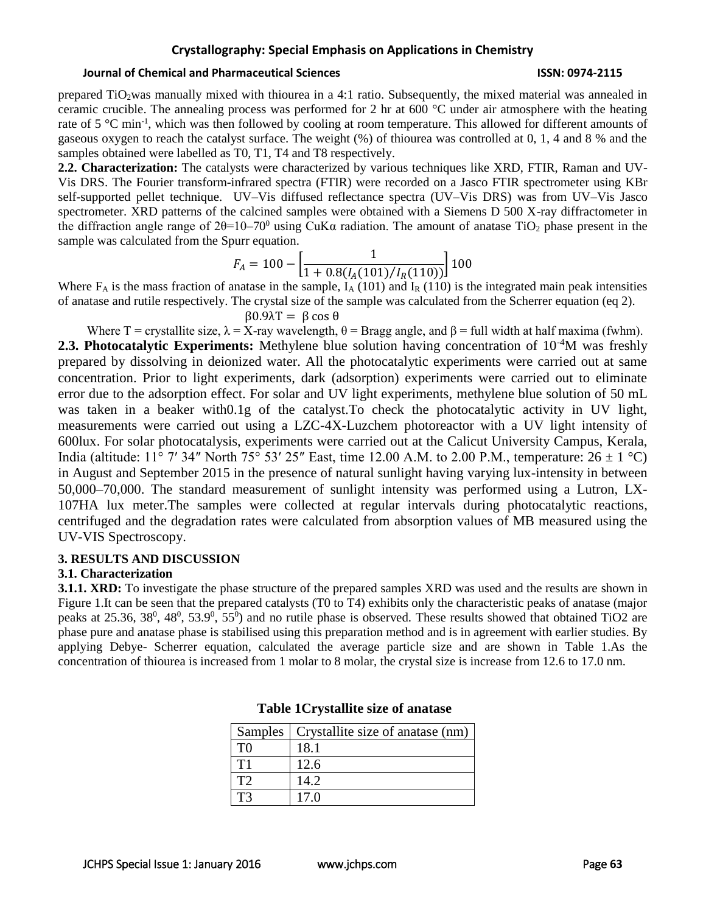# **Crystallography: Special Emphasis on Applications in Chemistry**

#### **Journal of Chemical and Pharmaceutical Sciences ISSN: 0974-2115**

prepared TiO<sub>2</sub>was manually mixed with thiourea in a 4:1 ratio. Subsequently, the mixed material was annealed in ceramic crucible. The annealing process was performed for 2 hr at 600 °C under air atmosphere with the heating rate of 5 °C min<sup>-1</sup>, which was then followed by cooling at room temperature. This allowed for different amounts of gaseous oxygen to reach the catalyst surface. The weight (%) of thiourea was controlled at 0, 1, 4 and 8 % and the samples obtained were labelled as T0, T1, T4 and T8 respectively.

**2.2. Characterization:** The catalysts were characterized by various techniques like XRD, FTIR, Raman and UV-Vis DRS. The Fourier transform-infrared spectra (FTIR) were recorded on a Jasco FTIR spectrometer using KBr self-supported pellet technique. UV–Vis diffused reflectance spectra (UV–Vis DRS) was from UV–Vis Jasco spectrometer. XRD patterns of the calcined samples were obtained with a Siemens D 500 X-ray diffractometer in the diffraction angle range of  $2\theta=10-70^{\circ}$  using CuK $\alpha$  radiation. The amount of anatase TiO<sub>2</sub> phase present in the sample was calculated from the Spurr equation.

$$
F_A = 100 - \left[ \frac{1}{1 + 0.8(I_A(101)/I_R(110))} \right] 100
$$

Where  $F_A$  is the mass fraction of anatase in the sample,  $I_A$  (101) and  $I_R$  (110) is the integrated main peak intensities of anatase and rutile respectively. The crystal size of the sample was calculated from the Scherrer equation (eq 2).

β0.9λT = β cos θ

Where T = crystallite size,  $\lambda = X$ -ray wavelength,  $\theta = B$ ragg angle, and  $\beta = \text{full width at half maxima (fwhm)}$ . **2.3. Photocatalytic Experiments:** Methylene blue solution having concentration of 10<sup>-4</sup>M was freshly prepared by dissolving in deionized water. All the photocatalytic experiments were carried out at same concentration. Prior to light experiments, dark (adsorption) experiments were carried out to eliminate error due to the adsorption effect. For solar and UV light experiments, methylene blue solution of 50 mL was taken in a beaker with0.1g of the catalyst.To check the photocatalytic activity in UV light, measurements were carried out using a LZC-4X-Luzchem photoreactor with a UV light intensity of 600lux. For solar photocatalysis, experiments were carried out at the Calicut University Campus, Kerala, India (altitude: 11° 7′ 34″ North 75° 53′ 25″ East, time 12.00 A.M. to 2.00 P.M., temperature:  $26 \pm 1$  °C) in August and September 2015 in the presence of natural sunlight having varying lux-intensity in between 50,000–70,000. The standard measurement of sunlight intensity was performed using a Lutron, LX-107HA lux meter.The samples were collected at regular intervals during photocatalytic reactions, centrifuged and the degradation rates were calculated from absorption values of MB measured using the UV-VIS Spectroscopy.

#### **3. RESULTS AND DISCUSSION**

#### **3.1. Characterization**

**3.1.1. XRD:** To investigate the phase structure of the prepared samples XRD was used and the results are shown in Figure 1.It can be seen that the prepared catalysts (T0 to T4) exhibits only the characteristic peaks of anatase (major peaks at  $25.36, 38^0, 48^0, 53.9^0, 55^0$ ) and no rutile phase is observed. These results showed that obtained TiO2 are phase pure and anatase phase is stabilised using this preparation method and is in agreement with earlier studies. By applying Debye- Scherrer equation, calculated the average particle size and are shown in Table 1.As the concentration of thiourea is increased from 1 molar to 8 molar, the crystal size is increase from 12.6 to 17.0 nm.

|    | Samples   Crystallite size of anatase (nm) |
|----|--------------------------------------------|
| TO | 18.1                                       |
| Τ1 | 12.6                                       |
| тי | 14.2                                       |
|    | 17.0                                       |

#### **Table 1Crystallite size of anatase**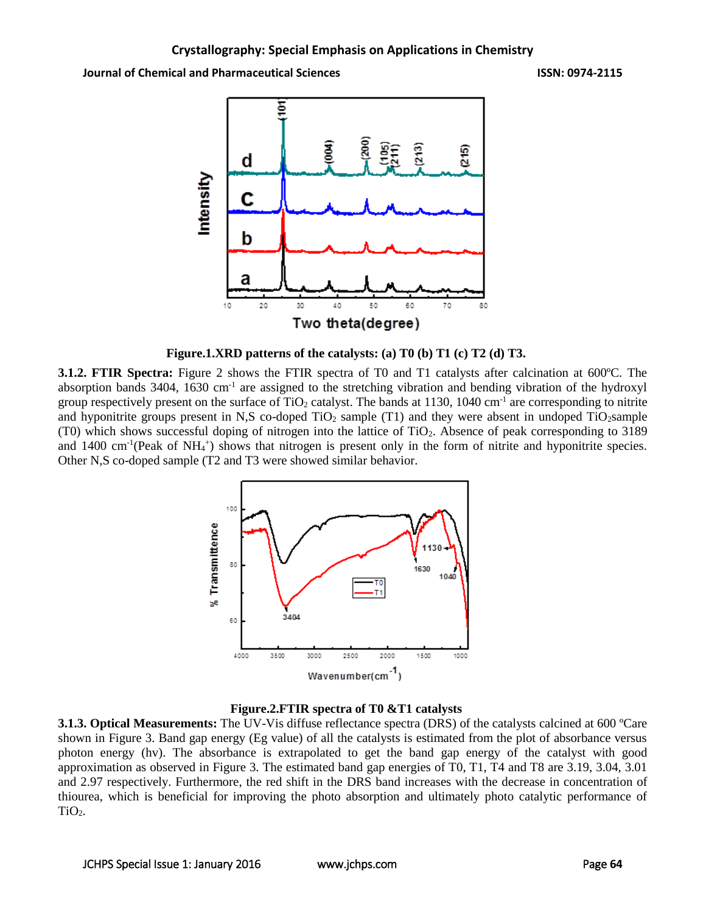**Journal of Chemical and Pharmaceutical Sciences ISSN: 0974-2115**



**Figure.1.XRD patterns of the catalysts: (a) T0 (b) T1 (c) T2 (d) T3.**

**3.1.2. FTIR Spectra:** Figure 2 shows the FTIR spectra of T0 and T1 catalysts after calcination at 600ºC. The absorption bands 3404, 1630 cm<sup>-1</sup> are assigned to the stretching vibration and bending vibration of the hydroxyl group respectively present on the surface of TiO<sub>2</sub> catalyst. The bands at 1130, 1040 cm<sup>-1</sup> are corresponding to nitrite and hyponitrite groups present in N,S co-doped  $TiO<sub>2</sub>$  sample (T1) and they were absent in undoped  $TiO<sub>2</sub>$ sample (T0) which shows successful doping of nitrogen into the lattice of TiO2. Absence of peak corresponding to 3189 and 1400 cm<sup>-1</sup>(Peak of NH<sub>4</sub><sup>+</sup>) shows that nitrogen is present only in the form of nitrite and hyponitrite species. Other N,S co-doped sample (T2 and T3 were showed similar behavior.





**3.1.3. Optical Measurements:** The UV-Vis diffuse reflectance spectra (DRS) of the catalysts calcined at 600 ºCare shown in Figure 3. Band gap energy (Eg value) of all the catalysts is estimated from the plot of absorbance versus photon energy (hv). The absorbance is extrapolated to get the band gap energy of the catalyst with good approximation as observed in Figure 3. The estimated band gap energies of T0, T1, T4 and T8 are 3.19, 3.04, 3.01 and 2.97 respectively. Furthermore, the red shift in the DRS band increases with the decrease in concentration of thiourea, which is beneficial for improving the photo absorption and ultimately photo catalytic performance of  $TiO<sub>2</sub>$ .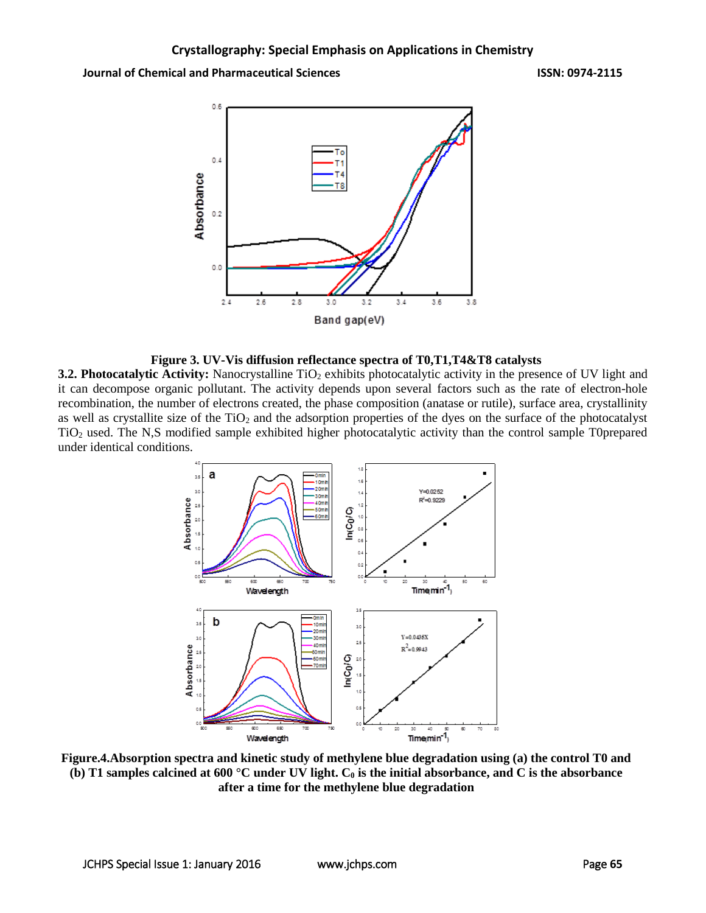**Journal of Chemical and Pharmaceutical Sciences ISSN: 0974-2115**



#### **Figure 3. UV-Vis diffusion reflectance spectra of T0,T1,T4&T8 catalysts**

**3.2. Photocatalytic Activity:** Nanocrystalline TiO<sub>2</sub> exhibits photocatalytic activity in the presence of UV light and it can decompose organic pollutant. The activity depends upon several factors such as the rate of electron-hole recombination, the number of electrons created, the phase composition (anatase or rutile), surface area, crystallinity as well as crystallite size of the  $TiO<sub>2</sub>$  and the adsorption properties of the dyes on the surface of the photocatalyst TiO<sup>2</sup> used. The N,S modified sample exhibited higher photocatalytic activity than the control sample T0prepared under identical conditions.



**Figure.4.Absorption spectra and kinetic study of methylene blue degradation using (a) the control T0 and (b) T1 samples calcined at 600 °C under UV light.**  $C_0$  **is the initial absorbance, and C is the absorbance after a time for the methylene blue degradation**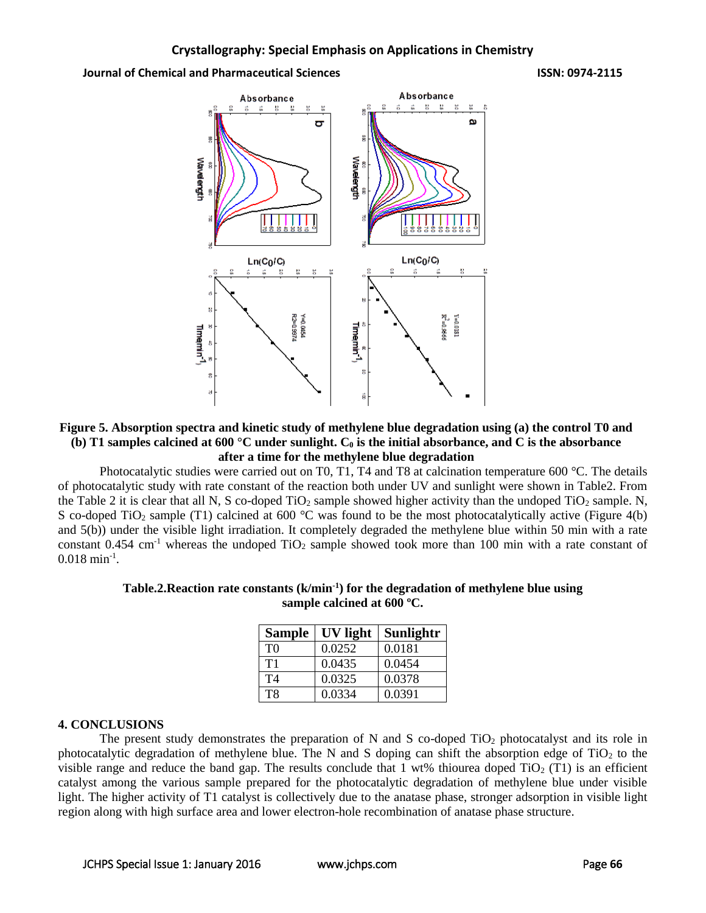**Journal of Chemical and Pharmaceutical Sciences ISSN: 0974-2115**



# **Figure 5. Absorption spectra and kinetic study of methylene blue degradation using (a) the control T0 and (b) T1 samples calcined at 600 °C under sunlight. C<sup>0</sup> is the initial absorbance, and C is the absorbance after a time for the methylene blue degradation**

Photocatalytic studies were carried out on T0, T1, T4 and T8 at calcination temperature 600 °C. The details of photocatalytic study with rate constant of the reaction both under UV and sunlight were shown in Table2. From the Table 2 it is clear that all N, S co-doped  $TiO<sub>2</sub>$  sample showed higher activity than the undoped  $TiO<sub>2</sub>$  sample. N, S co-doped TiO<sub>2</sub> sample (T1) calcined at 600 °C was found to be the most photocatalytically active (Figure 4(b) and 5(b)) under the visible light irradiation. It completely degraded the methylene blue within 50 min with a rate constant  $0.454 \text{ cm}^{-1}$  whereas the undoped TiO<sub>2</sub> sample showed took more than 100 min with a rate constant of  $0.018 \text{ min}^{-1}$ .

# **Table.2.Reaction rate constants (k/min-1 ) for the degradation of methylene blue using sample calcined at 600 ºC.**

| <b>Sample</b>  | UV light | Sunlightr |
|----------------|----------|-----------|
| T <sub>0</sub> | 0.0252   | 0.0181    |
| T1             | 0.0435   | 0.0454    |
| <b>T4</b>      | 0.0325   | 0.0378    |
| T <sub>8</sub> | 0.0334   | 0.0391    |

# **4. CONCLUSIONS**

The present study demonstrates the preparation of N and S co-doped  $TiO<sub>2</sub>$  photocatalyst and its role in photocatalytic degradation of methylene blue. The N and S doping can shift the absorption edge of  $TiO<sub>2</sub>$  to the visible range and reduce the band gap. The results conclude that 1 wt% thiourea doped  $TiO<sub>2</sub> (T1)$  is an efficient catalyst among the various sample prepared for the photocatalytic degradation of methylene blue under visible light. The higher activity of T1 catalyst is collectively due to the anatase phase, stronger adsorption in visible light region along with high surface area and lower electron-hole recombination of anatase phase structure.